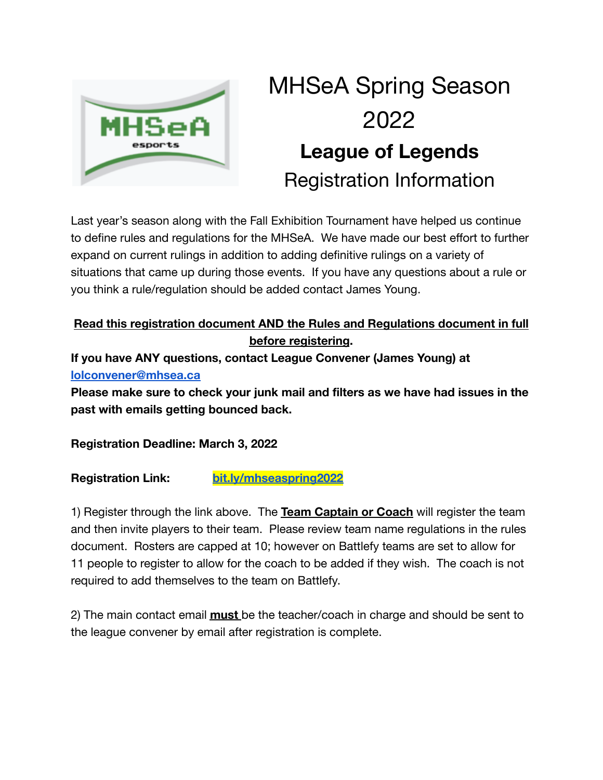

# MHSeA Spring Season 2022 **League of Legends** Registration Information

Last year's season along with the Fall Exhibition Tournament have helped us continue to define rules and regulations for the MHSeA. We have made our best effort to further expand on current rulings in addition to adding definitive rulings on a variety of situations that came up during those events. If you have any questions about a rule or you think a rule/regulation should be added contact James Young.

## **Read this registration document AND the Rules and Regulations document in full before registering.**

**If you have ANY questions, contact League Convener (James Young) at [lolconvener@mhsea.ca](mailto:lolconvener@mhsea.ca)**

**Please make sure to check your junk mail and filters as we have had issues in the past with emails getting bounced back.**

**Registration Deadline: March 3, 2022**

**Registration Link: [bit.ly/mhseaspring2022](https://battlefy.com/manitoba-highschool-esports-association/mhsea-spring-invitational-2022/62031a819914500777b016a4/info)**

1) Register through the link above. The **Team Captain or Coach** will register the team and then invite players to their team. Please review team name regulations in the rules document. Rosters are capped at 10; however on Battlefy teams are set to allow for 11 people to register to allow for the coach to be added if they wish. The coach is not required to add themselves to the team on Battlefy.

2) The main contact email **must** be the teacher/coach in charge and should be sent to the league convener by email after registration is complete.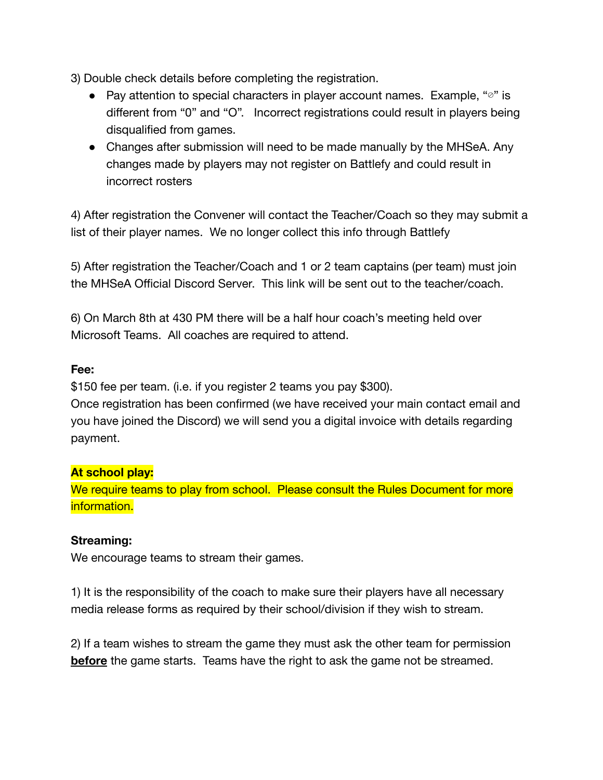3) Double check details before completing the registration.

- Pay attention to special characters in player account names. Example, "⊘" is different from "0" and "O". Incorrect registrations could result in players being disqualified from games.
- Changes after submission will need to be made manually by the MHSeA. Any changes made by players may not register on Battlefy and could result in incorrect rosters

4) After registration the Convener will contact the Teacher/Coach so they may submit a list of their player names. We no longer collect this info through Battlefy

5) After registration the Teacher/Coach and 1 or 2 team captains (per team) must join the MHSeA Official Discord Server. This link will be sent out to the teacher/coach.

6) On March 8th at 430 PM there will be a half hour coach's meeting held over Microsoft Teams. All coaches are required to attend.

#### **Fee:**

\$150 fee per team. (i.e. if you register 2 teams you pay \$300).

Once registration has been confirmed (we have received your main contact email and you have joined the Discord) we will send you a digital invoice with details regarding payment.

#### **At school play:**

We require teams to play from school. Please consult the Rules Document for more information.

### **Streaming:**

We encourage teams to stream their games.

1) It is the responsibility of the coach to make sure their players have all necessary media release forms as required by their school/division if they wish to stream.

2) If a team wishes to stream the game they must ask the other team for permission **before** the game starts. Teams have the right to ask the game not be streamed.